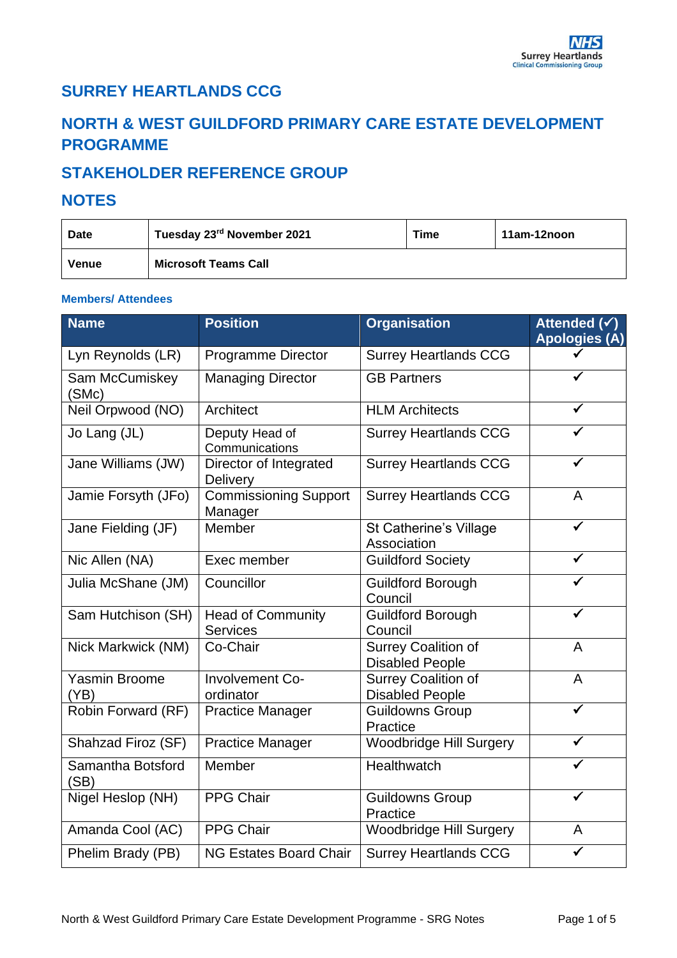## **SURREY HEARTLANDS CCG**

# **NORTH & WEST GUILDFORD PRIMARY CARE ESTATE DEVELOPMENT PROGRAMME**

## **STAKEHOLDER REFERENCE GROUP**

#### **NOTES**

| <b>Date</b> | Tuesday 23rd November 2021  | Time | 11am-12noon |
|-------------|-----------------------------|------|-------------|
| Venue       | <b>Microsoft Teams Call</b> |      |             |

#### **Members/ Attendees**

| <b>Name</b>                  | <b>Position</b>                             | <b>Organisation</b>                                  | Attended $\overline{(\checkmark)}$<br><b>Apologies (A)</b> |
|------------------------------|---------------------------------------------|------------------------------------------------------|------------------------------------------------------------|
| Lyn Reynolds (LR)            | Programme Director                          | <b>Surrey Heartlands CCG</b>                         |                                                            |
| Sam McCumiskey<br>(SMc)      | <b>Managing Director</b>                    | <b>GB Partners</b>                                   |                                                            |
| Neil Orpwood (NO)            | Architect                                   | <b>HLM Architects</b>                                |                                                            |
| Jo Lang (JL)                 | Deputy Head of<br>Communications            | <b>Surrey Heartlands CCG</b>                         |                                                            |
| Jane Williams (JW)           | Director of Integrated<br>Delivery          | <b>Surrey Heartlands CCG</b>                         |                                                            |
| Jamie Forsyth (JFo)          | <b>Commissioning Support</b><br>Manager     | <b>Surrey Heartlands CCG</b>                         | A                                                          |
| Jane Fielding (JF)           | Member                                      | St Catherine's Village<br>Association                |                                                            |
| Nic Allen (NA)               | Exec member                                 | <b>Guildford Society</b>                             |                                                            |
| Julia McShane (JM)           | Councillor                                  | <b>Guildford Borough</b><br>Council                  |                                                            |
| Sam Hutchison (SH)           | <b>Head of Community</b><br><b>Services</b> | <b>Guildford Borough</b><br>Council                  | ✓                                                          |
| Nick Markwick (NM)           | Co-Chair                                    | Surrey Coalition of<br><b>Disabled People</b>        | A                                                          |
| <b>Yasmin Broome</b><br>(YB) | Involvement Co-<br>ordinator                | <b>Surrey Coalition of</b><br><b>Disabled People</b> | A                                                          |
| Robin Forward (RF)           | <b>Practice Manager</b>                     | <b>Guildowns Group</b><br>Practice                   |                                                            |
| Shahzad Firoz (SF)           | <b>Practice Manager</b>                     | Woodbridge Hill Surgery                              |                                                            |
| Samantha Botsford<br>(SB)    | Member                                      | Healthwatch                                          |                                                            |
| Nigel Heslop (NH)            | <b>PPG Chair</b>                            | <b>Guildowns Group</b><br>Practice                   |                                                            |
| Amanda Cool (AC)             | <b>PPG Chair</b>                            | <b>Woodbridge Hill Surgery</b>                       | A                                                          |
| Phelim Brady (PB)            | <b>NG Estates Board Chair</b>               | <b>Surrey Heartlands CCG</b>                         |                                                            |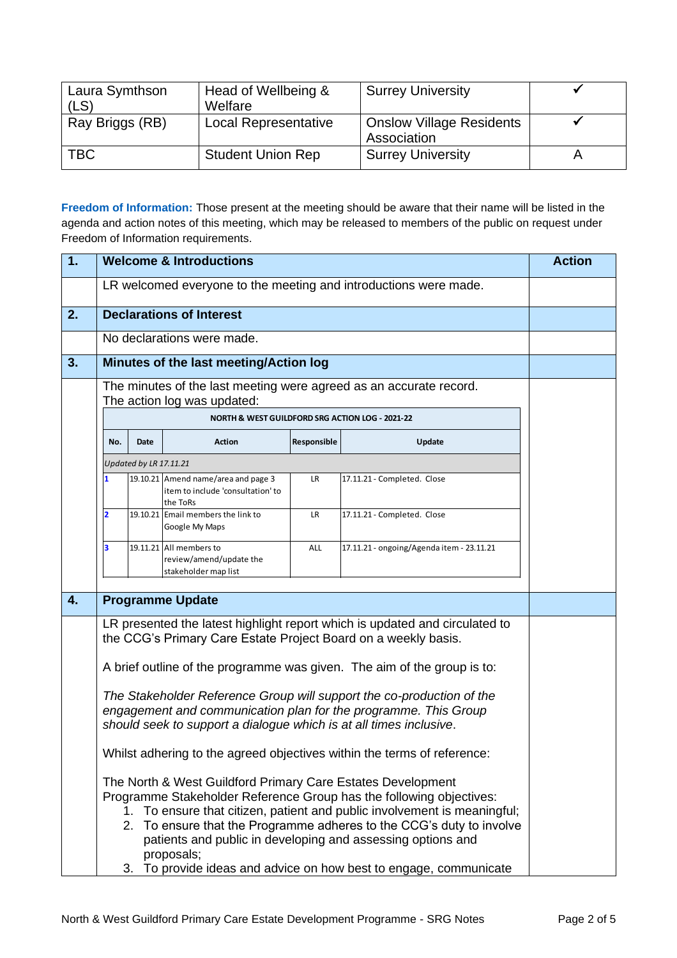| Laura Symthson  | Head of Wellbeing &         | <b>Surrey University</b>        |  |
|-----------------|-----------------------------|---------------------------------|--|
| (LS)            | Welfare                     |                                 |  |
| Ray Briggs (RB) | <b>Local Representative</b> | <b>Onslow Village Residents</b> |  |
|                 |                             | Association                     |  |
| <b>TBC</b>      | <b>Student Union Rep</b>    | <b>Surrey University</b>        |  |
|                 |                             |                                 |  |

**Freedom of Information:** Those present at the meeting should be aware that their name will be listed in the agenda and action notes of this meeting, which may be released to members of the public on request under Freedom of Information requirements.

| 1. | <b>Welcome &amp; Introductions</b>                                                                                                                                                                                     |                        |                                                                                                                                                                                                     | <b>Action</b> |                                                                                                                                                                                                                                                                                                                                                                                                                                                                                                                                  |  |
|----|------------------------------------------------------------------------------------------------------------------------------------------------------------------------------------------------------------------------|------------------------|-----------------------------------------------------------------------------------------------------------------------------------------------------------------------------------------------------|---------------|----------------------------------------------------------------------------------------------------------------------------------------------------------------------------------------------------------------------------------------------------------------------------------------------------------------------------------------------------------------------------------------------------------------------------------------------------------------------------------------------------------------------------------|--|
|    | LR welcomed everyone to the meeting and introductions were made.                                                                                                                                                       |                        |                                                                                                                                                                                                     |               |                                                                                                                                                                                                                                                                                                                                                                                                                                                                                                                                  |  |
| 2. |                                                                                                                                                                                                                        |                        | <b>Declarations of Interest</b>                                                                                                                                                                     |               |                                                                                                                                                                                                                                                                                                                                                                                                                                                                                                                                  |  |
|    |                                                                                                                                                                                                                        |                        | No declarations were made.                                                                                                                                                                          |               |                                                                                                                                                                                                                                                                                                                                                                                                                                                                                                                                  |  |
| 3. |                                                                                                                                                                                                                        |                        | Minutes of the last meeting/Action log                                                                                                                                                              |               |                                                                                                                                                                                                                                                                                                                                                                                                                                                                                                                                  |  |
|    | The minutes of the last meeting were agreed as an accurate record.<br>The action log was updated:                                                                                                                      |                        |                                                                                                                                                                                                     |               |                                                                                                                                                                                                                                                                                                                                                                                                                                                                                                                                  |  |
|    |                                                                                                                                                                                                                        |                        | NORTH & WEST GUILDFORD SRG ACTION LOG - 2021-22                                                                                                                                                     |               |                                                                                                                                                                                                                                                                                                                                                                                                                                                                                                                                  |  |
|    | No.                                                                                                                                                                                                                    | Date                   | <b>Action</b>                                                                                                                                                                                       | Responsible   | <b>Update</b>                                                                                                                                                                                                                                                                                                                                                                                                                                                                                                                    |  |
|    |                                                                                                                                                                                                                        | Updated by LR 17.11.21 |                                                                                                                                                                                                     |               |                                                                                                                                                                                                                                                                                                                                                                                                                                                                                                                                  |  |
|    |                                                                                                                                                                                                                        |                        | 19.10.21 Amend name/area and page 3<br>item to include 'consultation' to<br>the ToRs                                                                                                                | LR            | 17.11.21 - Completed. Close                                                                                                                                                                                                                                                                                                                                                                                                                                                                                                      |  |
|    | $\overline{2}$                                                                                                                                                                                                         |                        | 19.10.21 Email members the link to<br>Google My Maps                                                                                                                                                | <b>LR</b>     | 17.11.21 - Completed. Close                                                                                                                                                                                                                                                                                                                                                                                                                                                                                                      |  |
|    | 3                                                                                                                                                                                                                      |                        | 19.11.21 All members to<br>review/amend/update the<br>stakeholder map list                                                                                                                          | ALL           | 17.11.21 - ongoing/Agenda item - 23.11.21                                                                                                                                                                                                                                                                                                                                                                                                                                                                                        |  |
| 4. |                                                                                                                                                                                                                        |                        | <b>Programme Update</b>                                                                                                                                                                             |               |                                                                                                                                                                                                                                                                                                                                                                                                                                                                                                                                  |  |
|    |                                                                                                                                                                                                                        |                        | the CCG's Primary Care Estate Project Board on a weekly basis.<br>should seek to support a dialogue which is at all times inclusive.<br>The North & West Guildford Primary Care Estates Development |               | LR presented the latest highlight report which is updated and circulated to<br>A brief outline of the programme was given. The aim of the group is to:<br>The Stakeholder Reference Group will support the co-production of the<br>engagement and communication plan for the programme. This Group<br>Whilst adhering to the agreed objectives within the terms of reference:<br>Programme Stakeholder Reference Group has the following objectives:<br>1. To ensure that citizen, patient and public involvement is meaningful; |  |
|    | 2. To ensure that the Programme adheres to the CCG's duty to involve<br>patients and public in developing and assessing options and<br>proposals;<br>3. To provide ideas and advice on how best to engage, communicate |                        |                                                                                                                                                                                                     |               |                                                                                                                                                                                                                                                                                                                                                                                                                                                                                                                                  |  |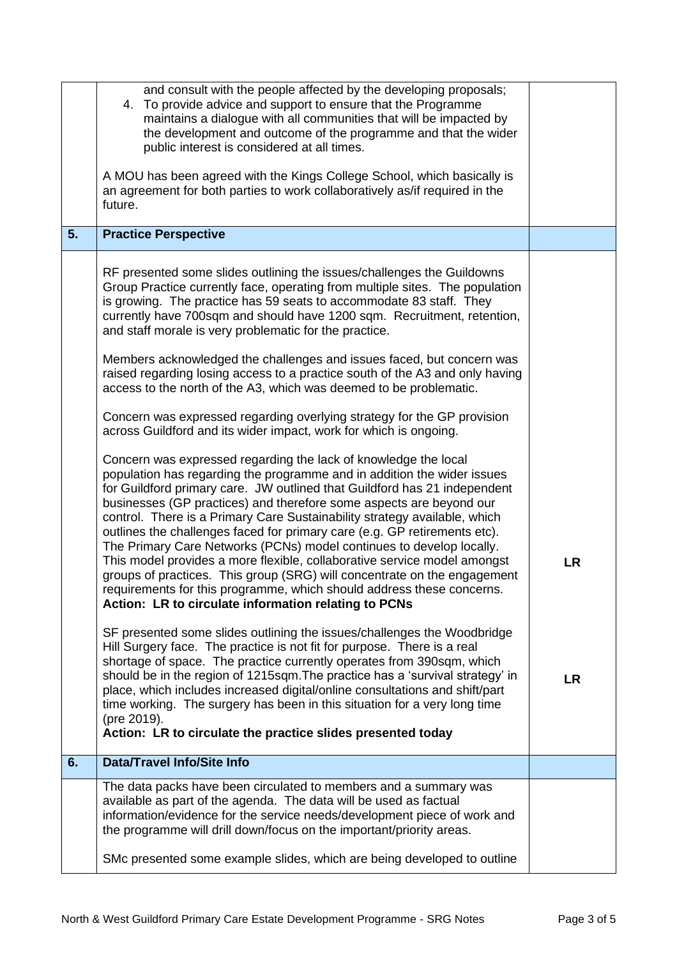|    | and consult with the people affected by the developing proposals;<br>To provide advice and support to ensure that the Programme<br>4.<br>maintains a dialogue with all communities that will be impacted by<br>the development and outcome of the programme and that the wider<br>public interest is considered at all times.<br>A MOU has been agreed with the Kings College School, which basically is<br>an agreement for both parties to work collaboratively as/if required in the                                                                                                                                                                                                                                                                                                                                   |           |
|----|---------------------------------------------------------------------------------------------------------------------------------------------------------------------------------------------------------------------------------------------------------------------------------------------------------------------------------------------------------------------------------------------------------------------------------------------------------------------------------------------------------------------------------------------------------------------------------------------------------------------------------------------------------------------------------------------------------------------------------------------------------------------------------------------------------------------------|-----------|
|    | future.                                                                                                                                                                                                                                                                                                                                                                                                                                                                                                                                                                                                                                                                                                                                                                                                                   |           |
| 5. | <b>Practice Perspective</b>                                                                                                                                                                                                                                                                                                                                                                                                                                                                                                                                                                                                                                                                                                                                                                                               |           |
|    | RF presented some slides outlining the issues/challenges the Guildowns<br>Group Practice currently face, operating from multiple sites. The population<br>is growing. The practice has 59 seats to accommodate 83 staff. They<br>currently have 700sqm and should have 1200 sqm. Recruitment, retention,<br>and staff morale is very problematic for the practice.                                                                                                                                                                                                                                                                                                                                                                                                                                                        |           |
|    | Members acknowledged the challenges and issues faced, but concern was<br>raised regarding losing access to a practice south of the A3 and only having<br>access to the north of the A3, which was deemed to be problematic.                                                                                                                                                                                                                                                                                                                                                                                                                                                                                                                                                                                               |           |
|    | Concern was expressed regarding overlying strategy for the GP provision<br>across Guildford and its wider impact, work for which is ongoing.                                                                                                                                                                                                                                                                                                                                                                                                                                                                                                                                                                                                                                                                              |           |
|    | Concern was expressed regarding the lack of knowledge the local<br>population has regarding the programme and in addition the wider issues<br>for Guildford primary care. JW outlined that Guildford has 21 independent<br>businesses (GP practices) and therefore some aspects are beyond our<br>control. There is a Primary Care Sustainability strategy available, which<br>outlines the challenges faced for primary care (e.g. GP retirements etc).<br>The Primary Care Networks (PCNs) model continues to develop locally.<br>This model provides a more flexible, collaborative service model amongst<br>groups of practices. This group (SRG) will concentrate on the engagement<br>requirements for this programme, which should address these concerns.<br>Action: LR to circulate information relating to PCNs | <b>LR</b> |
|    | SF presented some slides outlining the issues/challenges the Woodbridge<br>Hill Surgery face. The practice is not fit for purpose. There is a real<br>shortage of space. The practice currently operates from 390sqm, which<br>should be in the region of 1215sqm. The practice has a 'survival strategy' in<br>place, which includes increased digital/online consultations and shift/part<br>time working. The surgery has been in this situation for a very long time<br>(pre 2019).<br>Action: LR to circulate the practice slides presented today                                                                                                                                                                                                                                                                    | <b>LR</b> |
| 6. | <b>Data/Travel Info/Site Info</b>                                                                                                                                                                                                                                                                                                                                                                                                                                                                                                                                                                                                                                                                                                                                                                                         |           |
|    | The data packs have been circulated to members and a summary was<br>available as part of the agenda. The data will be used as factual<br>information/evidence for the service needs/development piece of work and<br>the programme will drill down/focus on the important/priority areas.                                                                                                                                                                                                                                                                                                                                                                                                                                                                                                                                 |           |
|    | SMc presented some example slides, which are being developed to outline                                                                                                                                                                                                                                                                                                                                                                                                                                                                                                                                                                                                                                                                                                                                                   |           |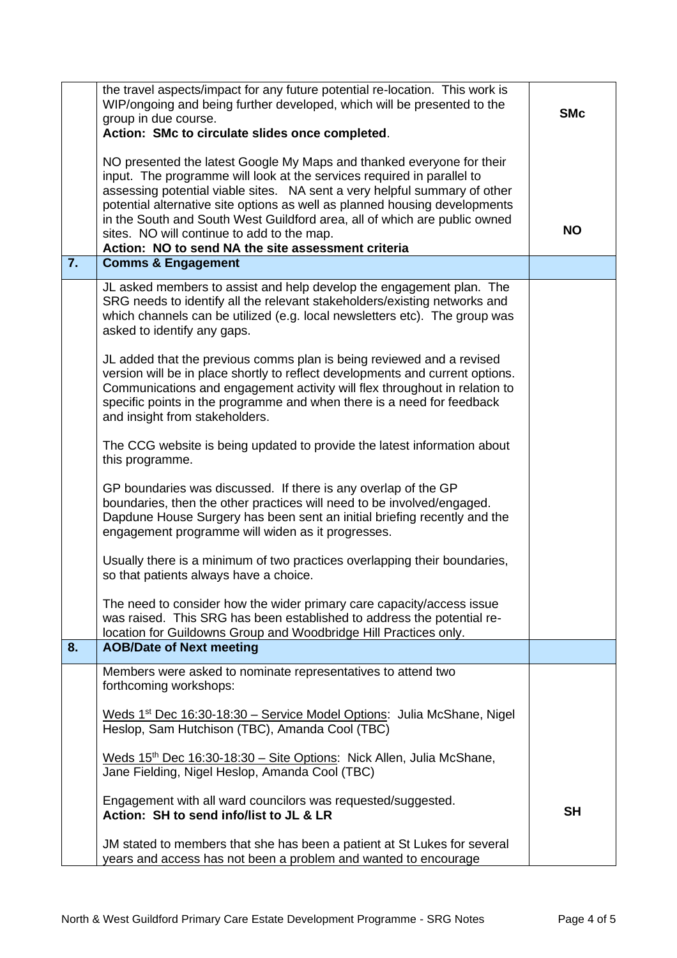|    | the travel aspects/impact for any future potential re-location. This work is<br>WIP/ongoing and being further developed, which will be presented to the<br>group in due course.<br>Action: SMc to circulate slides once completed.                                                                                                                                                                                                                                                          | <b>SMc</b> |
|----|---------------------------------------------------------------------------------------------------------------------------------------------------------------------------------------------------------------------------------------------------------------------------------------------------------------------------------------------------------------------------------------------------------------------------------------------------------------------------------------------|------------|
|    | NO presented the latest Google My Maps and thanked everyone for their<br>input. The programme will look at the services required in parallel to<br>assessing potential viable sites. NA sent a very helpful summary of other<br>potential alternative site options as well as planned housing developments<br>in the South and South West Guildford area, all of which are public owned<br>sites. NO will continue to add to the map.<br>Action: NO to send NA the site assessment criteria | <b>NO</b>  |
| 7. | <b>Comms &amp; Engagement</b>                                                                                                                                                                                                                                                                                                                                                                                                                                                               |            |
|    | JL asked members to assist and help develop the engagement plan. The<br>SRG needs to identify all the relevant stakeholders/existing networks and<br>which channels can be utilized (e.g. local newsletters etc). The group was<br>asked to identify any gaps.                                                                                                                                                                                                                              |            |
|    | JL added that the previous comms plan is being reviewed and a revised<br>version will be in place shortly to reflect developments and current options.<br>Communications and engagement activity will flex throughout in relation to<br>specific points in the programme and when there is a need for feedback<br>and insight from stakeholders.                                                                                                                                            |            |
|    | The CCG website is being updated to provide the latest information about<br>this programme.                                                                                                                                                                                                                                                                                                                                                                                                 |            |
|    | GP boundaries was discussed. If there is any overlap of the GP<br>boundaries, then the other practices will need to be involved/engaged.<br>Dapdune House Surgery has been sent an initial briefing recently and the<br>engagement programme will widen as it progresses.                                                                                                                                                                                                                   |            |
|    | Usually there is a minimum of two practices overlapping their boundaries,<br>so that patients always have a choice.                                                                                                                                                                                                                                                                                                                                                                         |            |
|    | The need to consider how the wider primary care capacity/access issue<br>was raised. This SRG has been established to address the potential re-<br>location for Guildowns Group and Woodbridge Hill Practices only.                                                                                                                                                                                                                                                                         |            |
| 8. | <b>AOB/Date of Next meeting</b>                                                                                                                                                                                                                                                                                                                                                                                                                                                             |            |
|    | Members were asked to nominate representatives to attend two<br>forthcoming workshops:                                                                                                                                                                                                                                                                                                                                                                                                      |            |
|    | Weds 1 <sup>st</sup> Dec 16:30-18:30 - Service Model Options: Julia McShane, Nigel<br>Heslop, Sam Hutchison (TBC), Amanda Cool (TBC)                                                                                                                                                                                                                                                                                                                                                        |            |
|    | Weds $15^{th}$ Dec $16:30-18:30$ – Site Options: Nick Allen, Julia McShane,<br>Jane Fielding, Nigel Heslop, Amanda Cool (TBC)                                                                                                                                                                                                                                                                                                                                                               |            |
|    | Engagement with all ward councilors was requested/suggested.<br>Action: SH to send info/list to JL & LR                                                                                                                                                                                                                                                                                                                                                                                     | <b>SH</b>  |
|    | JM stated to members that she has been a patient at St Lukes for several<br>years and access has not been a problem and wanted to encourage                                                                                                                                                                                                                                                                                                                                                 |            |